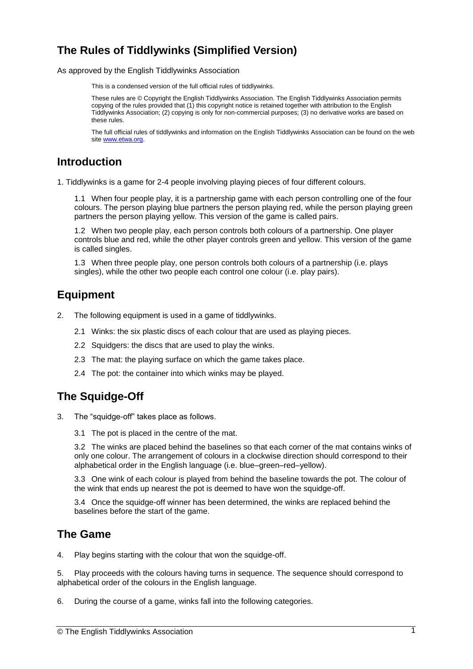# **The Rules of Tiddlywinks (Simplified Version)**

As approved by the English Tiddlywinks Association

This is a condensed version of the full official rules of tiddlywinks.

These rules are © Copyright the English Tiddlywinks Association. The English Tiddlywinks Association permits copying of the rules provided that (1) this copyright notice is retained together with attribution to the English Tiddlywinks Association; (2) copying is only for non-commercial purposes; (3) no derivative works are based on these rules.

The full official rules of tiddlywinks and information on the English Tiddlywinks Association can be found on the web site [www.etwa.org.](http://www.etwa.org/)

## **Introduction**

1. Tiddlywinks is a game for 2-4 people involving playing pieces of four different colours.

1.1 When four people play, it is a partnership game with each person controlling one of the four colours. The person playing blue partners the person playing red, while the person playing green partners the person playing yellow. This version of the game is called pairs.

1.2 When two people play, each person controls both colours of a partnership. One player controls blue and red, while the other player controls green and yellow. This version of the game is called singles.

1.3 When three people play, one person controls both colours of a partnership (i.e. plays singles), while the other two people each control one colour (i.e. play pairs).

# **Equipment**

- 2. The following equipment is used in a game of tiddlywinks.
	- 2.1 Winks: the six plastic discs of each colour that are used as playing pieces.
	- 2.2 Squidgers: the discs that are used to play the winks.
	- 2.3 The mat: the playing surface on which the game takes place.
	- 2.4 The pot: the container into which winks may be played.

# **The Squidge-Off**

- 3. The "squidge-off" takes place as follows.
	- 3.1 The pot is placed in the centre of the mat.

3.2 The winks are placed behind the baselines so that each corner of the mat contains winks of only one colour. The arrangement of colours in a clockwise direction should correspond to their alphabetical order in the English language (i.e. blue–green–red–yellow).

3.3 One wink of each colour is played from behind the baseline towards the pot. The colour of the wink that ends up nearest the pot is deemed to have won the squidge-off.

3.4 Once the squidge-off winner has been determined, the winks are replaced behind the baselines before the start of the game.

### **The Game**

4. Play begins starting with the colour that won the squidge-off.

5. Play proceeds with the colours having turns in sequence. The sequence should correspond to alphabetical order of the colours in the English language.

6. During the course of a game, winks fall into the following categories.